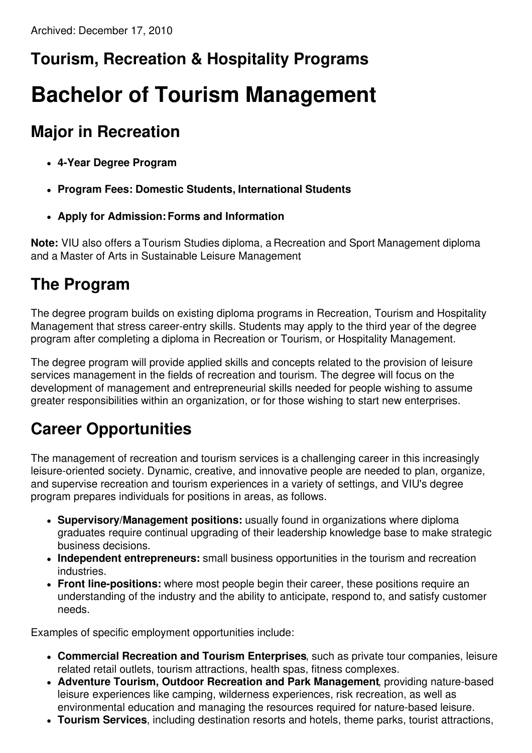## **Tourism, Recreation & Hospitality Programs**

# **Bachelor of Tourism Management**

#### **Major in Recreation**

- **4-Year Degree Program**
- **Program Fees: Domestic Students, International Students**
- **Apply for Admission:Forms and Information**

**Note:** VIU also offers a Tourism Studies diploma, a Recreation and Sport Management diploma and a Master of Arts in Sustainable Leisure Management.

#### **The Program**

The degree program builds on existing diploma programs in Recreation, Tourism and Hospitality Management that stress career-entry skills. Students may apply to the third year of the degree program after completing a diploma in Recreation or Tourism, or Hospitality Management.

The degree program will provide applied skills and concepts related to the provision of leisure services management in the fields of recreation and tourism. The degree will focus on the development of management and entrepreneurial skills needed for people wishing to assume greater responsibilities within an organization, or for those wishing to start new enterprises.

### **Career Opportunities**

The management of recreation and tourism services is a challenging career in this increasingly leisure-oriented society. Dynamic, creative, and innovative people are needed to plan, organize, and supervise recreation and tourism experiences in a variety of settings, and VIU's degree program prepares individuals for positions in areas, as follows.

- **Supervisory/Management positions:** usually found in organizations where diploma graduates require continual upgrading of their leadership knowledge base to make strategic business decisions.
- **Independent entrepreneurs:** small business opportunities in the tourism and recreation industries.
- **Front line-positions:** where most people begin their career, these positions require an understanding of the industry and the ability to anticipate, respond to, and satisfy customer needs.

Examples of specific employment opportunities include:

- **Commercial Recreation and Tourism Enterprises**, such as private tour companies, leisure related retail outlets, tourism attractions, health spas, fitness complexes.
- **Adventure Tourism, Outdoor Recreation and Park Management**, providing nature-based leisure experiences like camping, wilderness experiences, risk recreation, as well as environmental education and managing the resources required for nature-based leisure.
- **Tourism Services**, including destination resorts and hotels, theme parks, tourist attractions,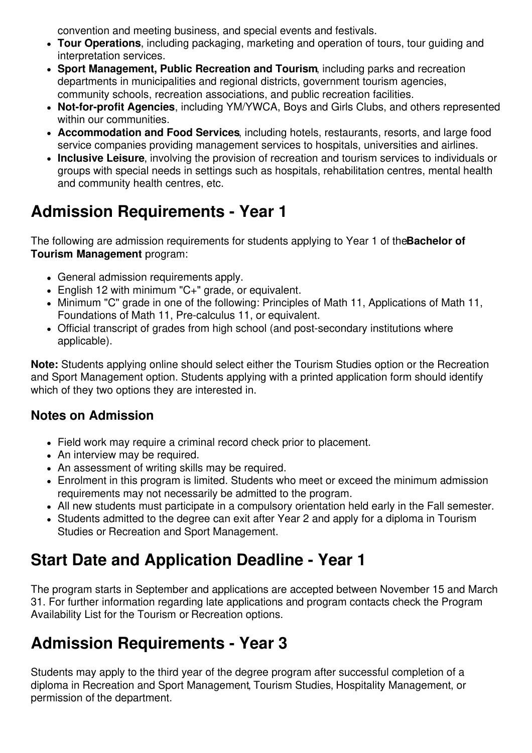convention and meeting business, and special events and festivals.

- **Tour Operations**, including packaging, marketing and operation of tours, tour guiding and interpretation services.
- **Sport Management, Public Recreation and Tourism**, including parks and recreation departments in municipalities and regional districts, government tourism agencies, community schools, recreation associations, and public recreation facilities.
- **Not-for-profit Agencies**, including YM/YWCA, Boys and Girls Clubs, and others represented within our communities.
- **Accommodation and Food Services**, including hotels, restaurants, resorts, and large food service companies providing management services to hospitals, universities and airlines.
- **Inclusive Leisure**, involving the provision of recreation and tourism services to individuals or groups with special needs in settings such as hospitals, rehabilitation centres, mental health and community health centres, etc.

### **Admission Requirements - Year 1**

The following are admission requirements for students applying to Year 1 of the**Bachelor of Tourism Management** program:

- General admission requirements apply.
- English 12 with minimum "C+" grade, or equivalent.
- Minimum "C" grade in one of the following: Principles of Math 11, Applications of Math 11, Foundations of Math 11, Pre-calculus 11, or equivalent.
- Official transcript of grades from high school (and post-secondary institutions where applicable).

**Note:** Students applying online should select either the Tourism Studies option or the Recreation and Sport Management option. Students applying with a printed application form should identify which of they two options they are interested in.

#### **Notes on Admission**

- Field work may require a criminal record check prior to placement.
- An interview may be required.
- An assessment of writing skills may be required.
- Enrolment in this program is limited. Students who meet or exceed the minimum admission requirements may not necessarily be admitted to the program.
- All new students must participate in a compulsory orientation held early in the Fall semester.
- Students admitted to the degree can exit after Year 2 and apply for a diploma in Tourism Studies or Recreation and Sport Management.

### **Start Date and Application Deadline - Year 1**

The program starts in September and applications are accepted between November 15 and March 31. For further information regarding late applications and program contacts check the Program Availability List for the Tourism or Recreation options.

#### **Admission Requirements - Year 3**

Students may apply to the third year of the degree program after successful completion of a diploma in Recreation and Sport Management, Tourism Studies, Hospitality Management, or permission of the department.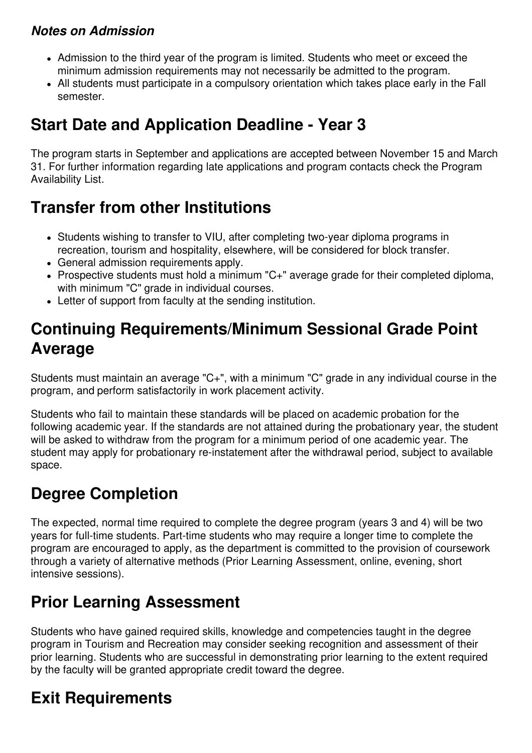#### *Notes on Admission*

- Admission to the third year of the program is limited. Students who meet or exceed the minimum admission requirements may not necessarily be admitted to the program.
- All students must participate in a compulsory orientation which takes place early in the Fall semester.

#### **Start Date and Application Deadline - Year 3**

The program starts in September and applications are accepted between November 15 and March 31. For further information regarding late applications and program contacts check the Program Availability List.

#### **Transfer from other Institutions**

- Students wishing to transfer to VIU, after completing two-year diploma programs in recreation, tourism and hospitality, elsewhere, will be considered for block transfer.
- General admission requirements apply.
- Prospective students must hold a minimum "C+" average grade for their completed diploma, with minimum "C" grade in individual courses.
- Letter of support from faculty at the sending institution.

#### **Continuing Requirements/Minimum Sessional Grade Point Average**

Students must maintain an average "C+", with a minimum "C" grade in any individual course in the program, and perform satisfactorily in work placement activity.

Students who fail to maintain these standards will be placed on academic probation for the following academic year. If the standards are not attained during the probationary year, the student will be asked to withdraw from the program for a minimum period of one academic year. The student may apply for probationary re-instatement after the withdrawal period, subject to available space.

#### **Degree Completion**

The expected, normal time required to complete the degree program (years 3 and 4) will be two years for full-time students. Part-time students who may require a longer time to complete the program are encouraged to apply, as the department is committed to the provision of coursework through a variety of alternative methods (Prior Learning Assessment, online, evening, short intensive sessions).

#### **Prior Learning Assessment**

Students who have gained required skills, knowledge and competencies taught in the degree program in Tourism and Recreation may consider seeking recognition and assessment of their prior learning. Students who are successful in demonstrating prior learning to the extent required by the faculty will be granted appropriate credit toward the degree.

#### **Exit Requirements**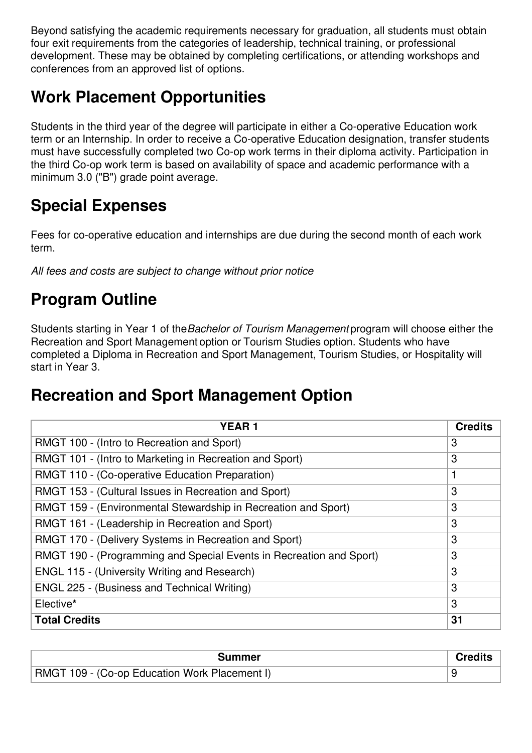Beyond satisfying the academic requirements necessary for graduation, all students must obtain four exit requirements from the categories of leadership, technical training, or professional development. These may be obtained by completing certifications, or attending workshops and conferences from an approved list of options.

#### **Work Placement Opportunities**

Students in the third year of the degree will participate in either a Co-operative Education work term or an Internship. In order to receive a Co-operative Education designation, transfer students must have successfully completed two Co-op work terms in their diploma activity. Participation in the third Co-op work term is based on availability of space and academic performance with a minimum 3.0 ("B") grade point average.

#### **Special Expenses**

Fees for co-operative education and internships are due during the second month of each work term.

*All fees and costs are subject to change without prior notice*

#### **Program Outline**

Students starting in Year 1 of the*Bachelor of Tourism Management* program will choose either the Recreation and Sport Management option or Tourism Studies option. Students who have completed a Diploma in Recreation and Sport Management, Tourism Studies, or Hospitality will start in Year 3.

#### **Recreation and Sport Management Option**

| <b>YEAR1</b>                                                        | <b>Credits</b> |
|---------------------------------------------------------------------|----------------|
| RMGT 100 - (Intro to Recreation and Sport)                          | 3              |
| RMGT 101 - (Intro to Marketing in Recreation and Sport)             | 3              |
| RMGT 110 - (Co-operative Education Preparation)                     |                |
| RMGT 153 - (Cultural Issues in Recreation and Sport)                | 3              |
| RMGT 159 - (Environmental Stewardship in Recreation and Sport)      | 3              |
| RMGT 161 - (Leadership in Recreation and Sport)                     | 3              |
| RMGT 170 - (Delivery Systems in Recreation and Sport)               | 3              |
| RMGT 190 - (Programming and Special Events in Recreation and Sport) | 3              |
| <b>ENGL 115 - (University Writing and Research)</b>                 | 3              |
| <b>ENGL 225 - (Business and Technical Writing)</b>                  | 3              |
| Elective*                                                           | 3              |
| <b>Total Credits</b>                                                | 31             |

| Summer                                               |  |
|------------------------------------------------------|--|
| <b>RMGT 109 - (Co-op Education Work Placement I)</b> |  |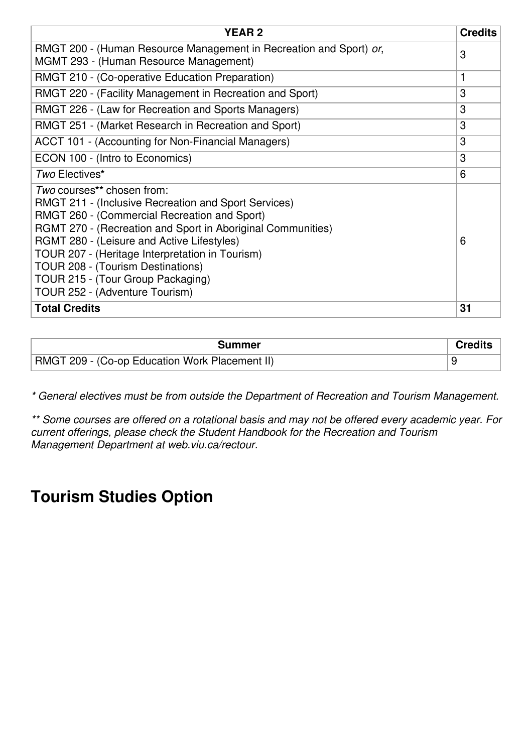| <b>YEAR2</b>                                                                                                                                                                                                                                                                                                                                                                                                   | <b>Credits</b> |
|----------------------------------------------------------------------------------------------------------------------------------------------------------------------------------------------------------------------------------------------------------------------------------------------------------------------------------------------------------------------------------------------------------------|----------------|
| RMGT 200 - (Human Resource Management in Recreation and Sport) or,<br><b>MGMT 293 - (Human Resource Management)</b>                                                                                                                                                                                                                                                                                            | 3              |
| RMGT 210 - (Co-operative Education Preparation)                                                                                                                                                                                                                                                                                                                                                                | 1              |
| RMGT 220 - (Facility Management in Recreation and Sport)                                                                                                                                                                                                                                                                                                                                                       | 3              |
| RMGT 226 - (Law for Recreation and Sports Managers)                                                                                                                                                                                                                                                                                                                                                            | 3              |
| RMGT 251 - (Market Research in Recreation and Sport)                                                                                                                                                                                                                                                                                                                                                           | 3              |
| ACCT 101 - (Accounting for Non-Financial Managers)                                                                                                                                                                                                                                                                                                                                                             | 3              |
| ECON 100 - (Intro to Economics)                                                                                                                                                                                                                                                                                                                                                                                | 3              |
| Two Electives*                                                                                                                                                                                                                                                                                                                                                                                                 | 6              |
| Two courses** chosen from:<br>RMGT 211 - (Inclusive Recreation and Sport Services)<br>RMGT 260 - (Commercial Recreation and Sport)<br>RGMT 270 - (Recreation and Sport in Aboriginal Communities)<br>RGMT 280 - (Leisure and Active Lifestyles)<br>TOUR 207 - (Heritage Interpretation in Tourism)<br>TOUR 208 - (Tourism Destinations)<br>TOUR 215 - (Tour Group Packaging)<br>TOUR 252 - (Adventure Tourism) | 6              |
| <b>Total Credits</b>                                                                                                                                                                                                                                                                                                                                                                                           | 31             |

| Summer                                         |  |
|------------------------------------------------|--|
| RMGT 209 - (Co-op Education Work Placement II) |  |

*\* General electives must be from outside the Department of Recreation and Tourism Management.*

*\*\* Some courses are offered on a rotational basis and may not be offered every academic year. For current offerings, please check the Student Handbook for the Recreation and Tourism Management Department at web.viu.ca/rectour.*

#### **Tourism Studies Option**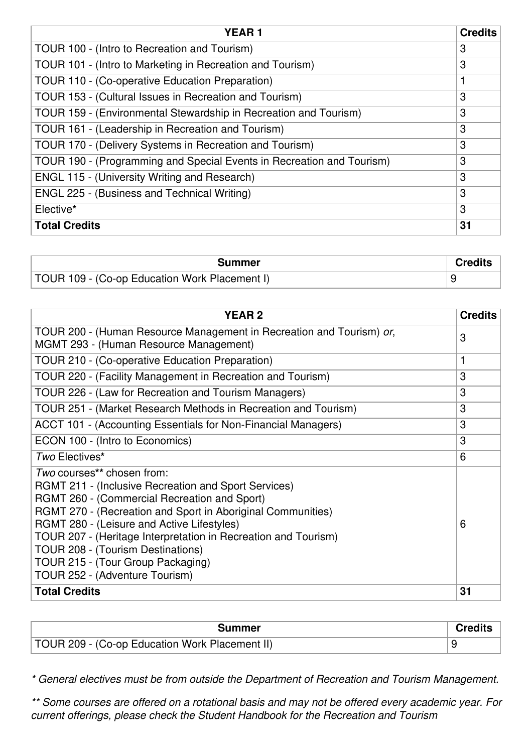| <b>YEAR1</b>                                                          | <b>Credits</b> |
|-----------------------------------------------------------------------|----------------|
| TOUR 100 - (Intro to Recreation and Tourism)                          | 3              |
| TOUR 101 - (Intro to Marketing in Recreation and Tourism)             | 3              |
| TOUR 110 - (Co-operative Education Preparation)                       | 1              |
| TOUR 153 - (Cultural Issues in Recreation and Tourism)                | 3              |
| TOUR 159 - (Environmental Stewardship in Recreation and Tourism)      | 3              |
| TOUR 161 - (Leadership in Recreation and Tourism)                     | 3              |
| TOUR 170 - (Delivery Systems in Recreation and Tourism)               | 3              |
| TOUR 190 - (Programming and Special Events in Recreation and Tourism) | 3              |
| <b>ENGL 115 - (University Writing and Research)</b>                   | 3              |
| <b>ENGL 225 - (Business and Technical Writing)</b>                    | 3              |
| Elective*                                                             | 3              |
| <b>Total Credits</b>                                                  | 31             |

| Summer                                        | <b>Credits</b> |
|-----------------------------------------------|----------------|
| TOUR 109 - (Co-op Education Work Placement I) |                |

| <b>YEAR2</b>                                                                                                                                                                                                                                                                                                                                                                                                                         | <b>Credits</b> |
|--------------------------------------------------------------------------------------------------------------------------------------------------------------------------------------------------------------------------------------------------------------------------------------------------------------------------------------------------------------------------------------------------------------------------------------|----------------|
| TOUR 200 - (Human Resource Management in Recreation and Tourism) or,<br>MGMT 293 - (Human Resource Management)                                                                                                                                                                                                                                                                                                                       | 3              |
| TOUR 210 - (Co-operative Education Preparation)                                                                                                                                                                                                                                                                                                                                                                                      | 1              |
| TOUR 220 - (Facility Management in Recreation and Tourism)                                                                                                                                                                                                                                                                                                                                                                           | 3              |
| TOUR 226 - (Law for Recreation and Tourism Managers)                                                                                                                                                                                                                                                                                                                                                                                 | 3              |
| TOUR 251 - (Market Research Methods in Recreation and Tourism)                                                                                                                                                                                                                                                                                                                                                                       | 3              |
| ACCT 101 - (Accounting Essentials for Non-Financial Managers)                                                                                                                                                                                                                                                                                                                                                                        | 3              |
| ECON 100 - (Intro to Economics)                                                                                                                                                                                                                                                                                                                                                                                                      | 3              |
| Two Electives*                                                                                                                                                                                                                                                                                                                                                                                                                       | 6              |
| Two courses** chosen from:<br><b>RGMT 211 - (Inclusive Recreation and Sport Services)</b><br>RGMT 260 - (Commercial Recreation and Sport)<br>RGMT 270 - (Recreation and Sport in Aboriginal Communities)<br>RGMT 280 - (Leisure and Active Lifestyles)<br>TOUR 207 - (Heritage Interpretation in Recreation and Tourism)<br>TOUR 208 - (Tourism Destinations)<br>TOUR 215 - (Tour Group Packaging)<br>TOUR 252 - (Adventure Tourism) | 6              |
| <b>Total Credits</b>                                                                                                                                                                                                                                                                                                                                                                                                                 | 31             |

| Summer                                         |  |
|------------------------------------------------|--|
| TOUR 209 - (Co-op Education Work Placement II) |  |

*\* General electives must be from outside the Department of Recreation and Tourism Management.*

*\*\* Some courses are offered on a rotational basis and may not be offered every academic year. For current offerings, please check the Student Handbook for the Recreation and Tourism*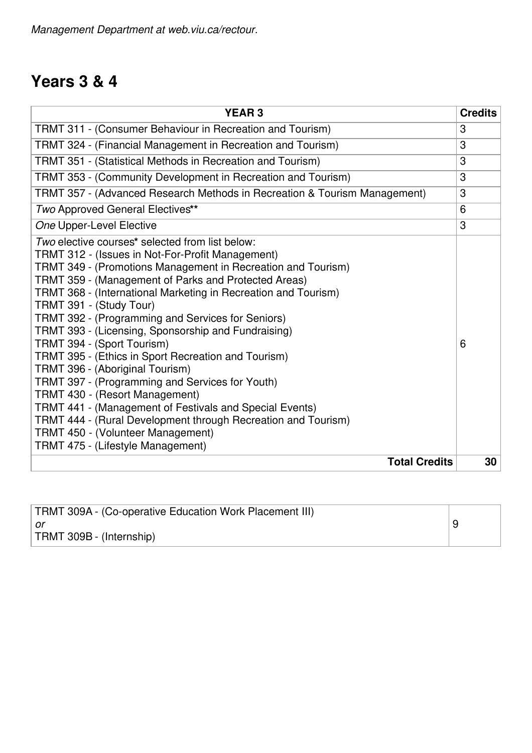#### **Years 3 & 4**

| <b>YEAR3</b>                                                                                                                                                                                                                                                                                                                                                                                                                                                                                                                                                                                                                                                                                                                                                                                                                                            | <b>Credits</b> |
|---------------------------------------------------------------------------------------------------------------------------------------------------------------------------------------------------------------------------------------------------------------------------------------------------------------------------------------------------------------------------------------------------------------------------------------------------------------------------------------------------------------------------------------------------------------------------------------------------------------------------------------------------------------------------------------------------------------------------------------------------------------------------------------------------------------------------------------------------------|----------------|
| TRMT 311 - (Consumer Behaviour in Recreation and Tourism)                                                                                                                                                                                                                                                                                                                                                                                                                                                                                                                                                                                                                                                                                                                                                                                               | 3              |
| TRMT 324 - (Financial Management in Recreation and Tourism)                                                                                                                                                                                                                                                                                                                                                                                                                                                                                                                                                                                                                                                                                                                                                                                             | 3              |
| TRMT 351 - (Statistical Methods in Recreation and Tourism)                                                                                                                                                                                                                                                                                                                                                                                                                                                                                                                                                                                                                                                                                                                                                                                              | 3              |
| TRMT 353 - (Community Development in Recreation and Tourism)                                                                                                                                                                                                                                                                                                                                                                                                                                                                                                                                                                                                                                                                                                                                                                                            | 3              |
| TRMT 357 - (Advanced Research Methods in Recreation & Tourism Management)                                                                                                                                                                                                                                                                                                                                                                                                                                                                                                                                                                                                                                                                                                                                                                               | 3              |
| Two Approved General Electives**                                                                                                                                                                                                                                                                                                                                                                                                                                                                                                                                                                                                                                                                                                                                                                                                                        | 6              |
| One Upper-Level Elective                                                                                                                                                                                                                                                                                                                                                                                                                                                                                                                                                                                                                                                                                                                                                                                                                                | 3              |
| Two elective courses* selected from list below:<br>TRMT 312 - (Issues in Not-For-Profit Management)<br>TRMT 349 - (Promotions Management in Recreation and Tourism)<br>TRMT 359 - (Management of Parks and Protected Areas)<br>TRMT 368 - (International Marketing in Recreation and Tourism)<br>TRMT 391 - (Study Tour)<br>TRMT 392 - (Programming and Services for Seniors)<br>TRMT 393 - (Licensing, Sponsorship and Fundraising)<br>TRMT 394 - (Sport Tourism)<br>TRMT 395 - (Ethics in Sport Recreation and Tourism)<br>TRMT 396 - (Aboriginal Tourism)<br>TRMT 397 - (Programming and Services for Youth)<br>TRMT 430 - (Resort Management)<br>TRMT 441 - (Management of Festivals and Special Events)<br>TRMT 444 - (Rural Development through Recreation and Tourism)<br>TRMT 450 - (Volunteer Management)<br>TRMT 475 - (Lifestyle Management) | 6              |
| <b>Total Credits</b>                                                                                                                                                                                                                                                                                                                                                                                                                                                                                                                                                                                                                                                                                                                                                                                                                                    | 30             |

| TRMT 309A - (Co-operative Education Work Placement III) |   |
|---------------------------------------------------------|---|
| ∣ or                                                    | q |
| TRMT 309B - (Internship)                                |   |